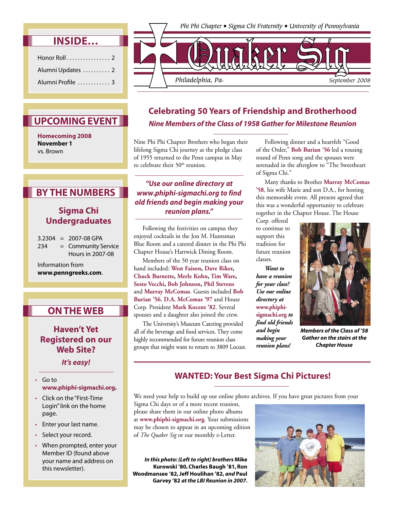|  | . س | $\tilde{\phantom{a}}$ |  | . |  |
|--|-----|-----------------------|--|---|--|
|  |     |                       |  |   |  |

| Honor Roll $\ldots$ , $\ldots$ , $\ldots$ , 2 |  |
|-----------------------------------------------|--|
| Alumni Updates  2                             |  |
| Alumni Profile  3                             |  |

## **UPCOMING EVENT**

**Homecoming 2008 November 1** vs. Brown

## **BY THE NUMBERS**

### **Sigma Chi Undergraduates**

 $3.2304 = 2007 - 08$  GPA 234 = Community Service Hours in 2007-08

Information from **www.penngreeks.com**.

## **ON THE WEB**

### **Haven't Yet Registered on our Web Site?**

**It's easy!**

- Go to **www.phiphi-sigmachi.org.**
- Click on the "First-Time Login" link on the home page.
- Enter your last name.
- Select your record.
- When prompted, enter your Member ID (found above your name and address on this newsletter).



## **Celebrating 50 Years of Friendship and Brotherhood Nine Members of the Class of 1958 Gather for Milestone Reunion**

Nine Phi Phi Chapter Brothers who began their lifelong Sigma Chi journey as the pledge class of 1955 returned to the Penn campus in May to celebrate their 50<sup>th</sup> reunion.

### **"Use our online directory at www.phiphi-sigmachi.org to find old friends and begin making your reunion plans."**

 Following the festivities on campus they enjoyed cocktails in the Jon M. Huntsman Blue Room and a catered dinner in the Phi Phi Chapter House's Hartwick Dining Room.

 Members of the 50 year reunion class on hand included: **West Faison, Dave Riker, Chuck Burnette, Merle Kohn, Tim Ware, Sesto Vecchi, Bob Johnson, Phil Stevens** and **Murray McComas**. Guests included **Bob Burian '56**, **D.A. McComas '97** and House Corp. President **Mark Kocent '82**. Several spouses and a daughter also joined the crew.

 The University's Museum Catering provided all of the beverage and food services. They come highly recommended for future reunion class groups that might want to return to 3809 Locust.

 Following dinner and a heartfelt "Good of the Order," **Bob Burian '56** led a rousing round of Penn song and the spouses were serenaded in the afterglow to "The Sweetheart of Sigma Chi."

 Many thanks to Brother **Murray McComas '58**, his wife Marie and son D.A., for hosting this memorable event. All present agreed that this was a wonderful opportunity to celebrate together in the Chapter House. The House

Corp. offered to continue to support this tradition for future reunion classes.

 *Want to have a reunion for your class? Use our online directory at*  **www.phiphisigmachi.org** *to find old friends and begin making your reunion plans!*



*Members of the Class of '58 Gather on the stairs at the Chapter House*

## **WANTED: Your Best Sigma Chi Pictures!**

We need your help to build up our online photo archives. If you have great pictures from your

Sigma Chi days or of a more recent reunion, please share them in our online photo albums at **www.phiphi-sigmachi.org**. Your submissions may be chosen to appear in an upcoming edition of *The Quaker Sig* or our monthly e-Letter.

*In this photo: (Left to right) brothers* **Mike Kurowski '80, Charles Baugh '81, Ron Woodmansee '82, Jeff Houlihan '82,** *and* **Paul Garvey '82** *at the LBI Reunion in 2007.*

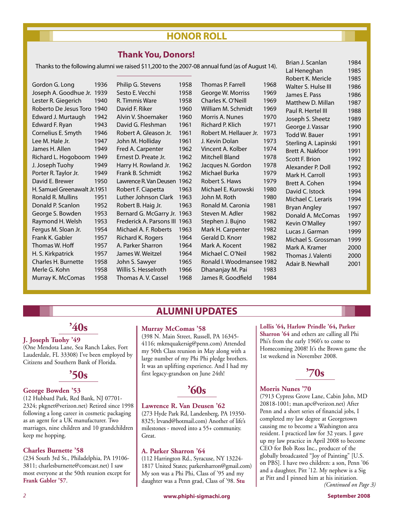## **HONOR ROLL**

### **Thank You, Donors!**

Thanks to the following alumni we raised \$11,200 to the 2007-08 annual fund (as of August 14).

| 1936                         |  |  |  |  |  |  |
|------------------------------|--|--|--|--|--|--|
| 1939                         |  |  |  |  |  |  |
| 1940                         |  |  |  |  |  |  |
| 1940                         |  |  |  |  |  |  |
| 1942                         |  |  |  |  |  |  |
| 1943                         |  |  |  |  |  |  |
| 1946                         |  |  |  |  |  |  |
| 1947                         |  |  |  |  |  |  |
| 1949                         |  |  |  |  |  |  |
| 1949                         |  |  |  |  |  |  |
| 1949                         |  |  |  |  |  |  |
| 1949                         |  |  |  |  |  |  |
| 1950                         |  |  |  |  |  |  |
| H. Samuel Greenawalt Jr.1951 |  |  |  |  |  |  |
| 1951                         |  |  |  |  |  |  |
| 1952                         |  |  |  |  |  |  |
| 1953                         |  |  |  |  |  |  |
| 1953                         |  |  |  |  |  |  |
| 1954                         |  |  |  |  |  |  |
| 1957                         |  |  |  |  |  |  |
| 1957                         |  |  |  |  |  |  |
| 1957                         |  |  |  |  |  |  |
| 1958                         |  |  |  |  |  |  |
| 1958                         |  |  |  |  |  |  |
| 1958                         |  |  |  |  |  |  |
|                              |  |  |  |  |  |  |

Philip G. Stevens 1958 Sesto E. Vecchi 1958 R. Timmis Ware 1958 David F. Riker 1960 Alvin V. Shoemaker 1960 David G. Fleshman 1961 Robert A. Gleason Jr. 1961 John M. Holliday 1961 Fred A. Carpenter 1962 Ernest D. Preate Jr. 1962 Harry H. Rowland Jr. 1962 Frank B. Schmidt 1962 Lawrence R. Van Deusen 1962 Robert F. Ciapetta 1963 Luther Johnson Clark 1963 Robert B. Haig Jr. 1963 Bernard G. McGarry Jr. 1963 Frederick A. Parsons III 1963 Michael A. F. Roberts 1963 Richard K. Rogers 1964 A. Parker Sharron 1964 James W. Weitzel 1964 John S. Sawyer 1965 Willis S. Hesselroth 1966 Thomas A.V. Cassel 1968

Thomas P. Farrell 1968 George W. Morriss 1969 Charles K. O'Neill 1969 William M. Schmidt 1969 Morris A. Nunes 1970 Richard P. Klich 1971 Robert M. Hellauer Jr. 1973 J. Kevin Dolan 1973 Vincent A. Kolber 1974 Mitchell Bland 1978 Jacques N. Gordon 1978 Michael Burka 1979 Robert S. Haws 1979 Michael E. Kurowski 1980 John M. Roth 1980 Ronald M. Caronia 1981 Steven M. Adler 1982 Stephen J. Bujno 1982 Mark H. Carpenter 1982 Gerald D. Knorr 1982 Mark A. Kocent 1982 Michael C. O'Neil 1982 Ronald I. Woodmansee 1982 Dhananjay M. Pai 1983 James R. Goodfield 1984

Brian J. Scanlan 1984 Lal Heneghan 1985 Robert K. Mericle 1985 Walter S. Hulse III 1986 James E. Pass 1986 Matthew D. Millan 1987 Paul R. Hertel III 1988 Joseph S. Sheetz 1989 George J. Vassar 1990 Todd W. Bauer 1991 Sterling A. Lapinski 1991 Brett A. Nakfoor 1991 Scott F. Brion 1992 Alexander P. Doll 1992 Mark H. Carroll 1993 Brett A. Cohen 1994 David C. Istock 1994 Michael C. Leraris 1994 Bryan Angley 1997 Donald A. McComas 1997 Kevin O'Malley 1997 Lucas J. Garman 1999 Michael S. Grossman 1999 Mark A. Kramer 2000 Thomas J. Valenti 2000 Adair B. Newhall 2001

# **'40s**

### **J. Joseph Tuohy '49**

(One Mendota Lane, Sea Ranch Lakes, Fort Lauderdale, FL 33308) I've been employed by Citizens and Southern Bank of Florida.

**'50s**

#### **George Bowden '53**

(12 Hubbard Park, Red Bank, NJ 07701- 2324; pkgnet@verizon.net) Retired since 1998 following a long career in cosmetic packaging as an agent for a UK manufacturer. Two marriages, nine children and 10 grandchildren keep me hopping.

#### **Charles Burnette '58**

(234 South 3rd St., Philadelphia, PA 19106- 3811; charlesburnette@comcast.net) I saw most everyone at the 50th reunion except for **Frank Gabler '57**.

### **ALUMNI UPDATES**

#### **Murray McComas '58**

(398 N. Main Street, Russell, PA 16345- 4116; mkmquakersig@penn.com) Attended my 50th Class reunion in May along with a large number of my Phi Phi pledge brothers. It was an uplifting experience. And I had my first legacy-grandson on June 24th!

## **'60s**

#### **Lawrence R. Van Deusen '62**

(273 Hyde Park Rd, Landenberg, PA 19350- 8325; lrvand@hotmail.com) Another of life's milestones - moved into a 55+ community. Great.

#### **A. Parker Sharron '64**

(112 Harrington Rd., Syracuse, NY 13224- 1817 United States; parkersharron@gmail.com) My son was a Phi Phi, Class of '95 and my daughter was a Penn grad, Class of '98. **Stu** 

#### **Lollis '64, Harlow Prindle '64, Parker**

**Sharron '64** and others are calling all Phi Phi's from the early 1960's to come to Homecoming 2008! It's the Brown game the 1st weekend in November 2008.



#### **Morris Nunes '70**

(7913 Cypress Grove Lane, Cabin John, MD 20818-1001; man.apc@verizon.net) After Penn and a short series of financial jobs, I completed my law degree at Georgetown causing me to become a Washington area resident. I practiced law for 32 years. I gave up my law practice in April 2008 to become CEO for Bob Ross Inc., producer of the globally broadcasted "Joy of Painting" [U.S. on PBS]. I have two children: a son, Penn '06 and a daughter, Pitt '12. My nephew is a Sig at Pitt and I pinned him at his initiation. *(Continued on Page 3)*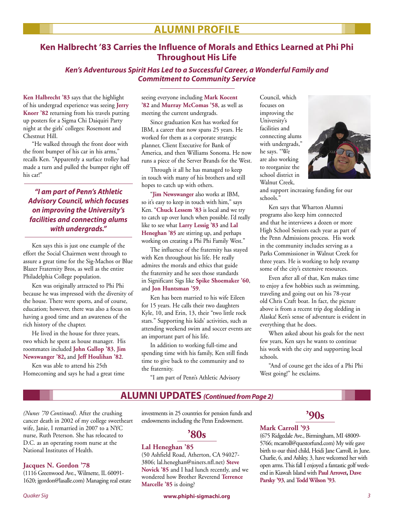## **ALUMNI PROFILE**

### **Ken Halbrecht '83 Carries the Influence of Morals and Ethics Learned at Phi Phi Throughout His Life**

**Ken's Adventurous Spirit Has Led to a Successful Career, a Wonderful Family and Commitment to Community Service**

**Ken Halbrecht '83** says that the highlight of his undergrad experience was seeing **Jerry Knorr '82** returning from his travels putting up posters for a Sigma Chi Daiquiri Party night at the girls' colleges: Rosemont and Chestnut Hill.

 "He walked through the front door with the front bumper of his car in his arms," recalls Ken. "Apparently a surface trolley had made a turn and pulled the bumper right off his car!"

### **"I am part of Penn's Athletic Advisory Council, which focuses on improving the University's facilities and connecting alums with undergrads."**

 Ken says this is just one example of the effort the Social Chairmen went through to assure a great time for the Sig-Machos or Blue Blazer Fraternity Bros, as well as the entire Philadelphia College population.

 Ken was originally attracted to Phi Phi because he was impressed with the diversity of the house. There were sports, and of course, education; however, there was also a focus on having a good time and an awareness of the rich history of the chapter.

 He lived in the house for three years, two which he spent as house manager. His roommates included **John Gallop '83**, **Jim Newswanger '82,** and **Jeff Houlihan '82**.

 Ken was able to attend his 25th Homecoming and says he had a great time seeing everyone including **Mark Kocent '82** and **Murray McComas '58**, as well as meeting the current undergrads.

 Since graduation Ken has worked for IBM, a career that now spans 25 years. He worked for them as a corporate strategic planner, Client Executive for Bank of America, and then Williams Sonoma. He now runs a piece of the Server Brands for the West.

 Through it all he has managed to keep in touch with many of his brothers and still hopes to catch up with others.

 "**Jim Newswanger** also works at IBM, so it's easy to keep in touch with him," says Ken. "**Chuck Lessem '83** is local and we try to catch up over lunch when possible. I'd really like to see what **Larry Lessig '83** and **Lal Heneghan '85** are stirring up, and perhaps working on creating a Phi Phi Family West."

 The influence of the fraternity has stayed with Ken throughout his life. He really admires the morals and ethics that guide the fraternity and he sees those standards in Significant Sigs like **Spike Shoemaker '60**, and **Jon Huntsman '59**.

 Ken has been married to his wife Eileen for 15 years. He calls their two daughters Kyle, 10, and Erin, 13, their "two little rock stars." Supporting his kids' activities, such as attending weekend swim and soccer events are an important part of his life.

 In addition to working full-time and spending time with his family, Ken still finds time to give back to the community and to the fraternity.

"I am part of Penn's Athletic Advisory

Council, which focuses on improving the University's facilities and connecting alums with undergrads," he says. "We are also working to reorganize the school district in Walnut Creek,



and support increasing funding for our schools."

 Ken says that Wharton Alumni programs also keep him connected and that he interviews a dozen or more High School Seniors each year as part of the Penn Admissions process. His work in the community includes serving as a Parks Commissioner in Walnut Creek for three years. He is working to help revamp some of the city's extensive resources.

 Even after all of that, Ken makes time to enjoy a few hobbies such as swimming, traveling and going out on his 78-year old Chris Craft boat. In fact, the picture above is from a recent trip dog sledding in Alaska! Ken's sense of adventure is evident in everything that he does.

 When asked about his goals for the next few years, Ken says he wants to continue his work with the city and supporting local schools.

 "And of course get the idea of a Phi Phi West going!" he exclaims.

## **ALUMNI UPDATES (Continued from Page 2)**

*(Nunes '70 Continued)*. After the crushing cancer death in 2002 of my college sweetheart wife, Janie, I remarried in 2007 to a NYC nurse, Ruth Peterson. She has relocated to D.C. as an operating room nurse at the National Institutes of Health.

### **Jacques N. Gordon '78**

(1116 Greenwood Ave., Wilmette, IL 60091- 1620; jgordon@lasalle.com) Managing real estate investments in 25 countries for pension funds and endowments including the Penn Endowment.

**'80s**

### **Lal Heneghan '85**

(50 Ashfield Road, Atherton, CA 94027- 3806; lal.heneghan@niners.nfl.net) **Steve Novick '85** and I had lunch recently, and we wondered how Brother Reverend **Terrence Marcelle '85** is doing?

## **'90s**

#### **Mark Carroll '93**

(675 Ridgedale Ave., Birmingham, MI 48009- 5766; mcarroll@questorfund.com) My wife gave birth to our third child, Heidi Jane Carroll, in June. Charlie, 6, and Ashley, 3, have welcomed her with open arms. This fall I enjoyed a fantastic golf weekend in Kiawah Island with **Paul Arrovet, Dave Parsky '93**, and **Todd Wilson '93**.

*Quaker Sig* **www.phiphi-sigmachi.org** *3*